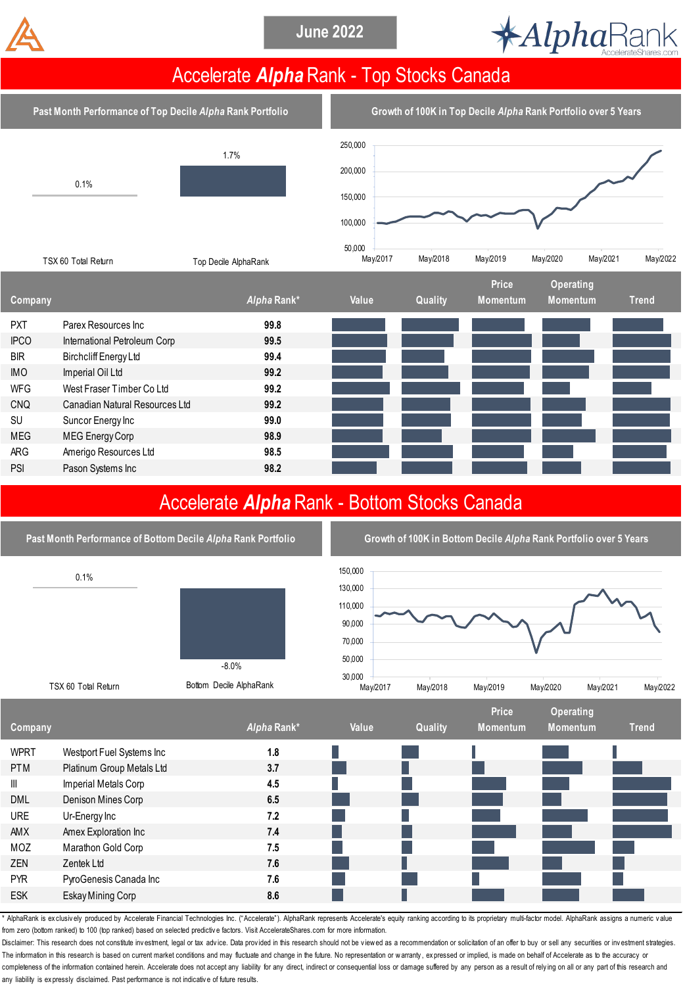



## Accelerate *Alpha* Rank - Top Stocks Canada

**Past Month Performance of Top Decile** *Alpha* **Rank Portfolio Growth of 100K in Top Decile** *Alpha* **Rank Portfolio over 5 Years**



|                |                                |             |       |         | <b>Price</b> | <b>Operating</b> |              |
|----------------|--------------------------------|-------------|-------|---------|--------------|------------------|--------------|
| <b>Company</b> |                                | Alpha Rank* | Value | Quality | Momentum     | <b>Momentum</b>  | <b>Trend</b> |
| <b>PXT</b>     | Parex Resources Inc            | 99.8        |       |         |              |                  |              |
| <b>IPCO</b>    | International Petroleum Corp   | 99.5        |       |         |              |                  |              |
| <b>BIR</b>     | Birchcliff Energy Ltd          | 99.4        |       |         |              |                  |              |
| <b>IMO</b>     | Imperial Oil Ltd               | 99.2        |       |         |              |                  |              |
| <b>WFG</b>     | West Fraser Timber Co Ltd      | 99.2        |       |         |              |                  |              |
| <b>CNQ</b>     | Canadian Natural Resources Ltd | 99.2        |       |         |              |                  |              |
| <b>SU</b>      | Suncor Energy Inc              | 99.0        |       |         |              |                  |              |
| <b>MEG</b>     | MEG Energy Corp                | 98.9        |       |         |              |                  |              |
| ARG            | Amerigo Resources Ltd          | 98.5        |       |         |              |                  |              |
| <b>PSI</b>     | Pason Systems Inc              | 98.2        |       |         |              |                  |              |
|                |                                |             |       |         |              |                  |              |

## Accelerate *Alpha* Rank - Bottom Stocks Canada



AlphaRank is exclusively produced by Accelerate Financial Technologies Inc. ("Accelerate"). AlphaRank represents Accelerate's equity ranking according to its proprietary multi-factor model. AlphaRank assigns a numeric valu from zero (bottom ranked) to 100 (top ranked) based on selected predictive factors. Visit AccelerateShares.com for more information.

Disclaimer: This research does not constitute investment, legal or tax advice. Data provided in this research should not be viewed as a recommendation or solicitation of an offer to buy or sell any securities or investment The information in this research is based on current market conditions and may fluctuate and change in the future. No representation or warranty, ex pressed or implied, is made on behalf of Accelerate as to the accuracy or completeness of the information contained herein. Accelerate does not accept any liability for any direct, indirect or consequential loss or damage suffered by any person as a result of relying on all or any part of this r any liability is expressly disclaimed. Past performance is not indicative of future results.